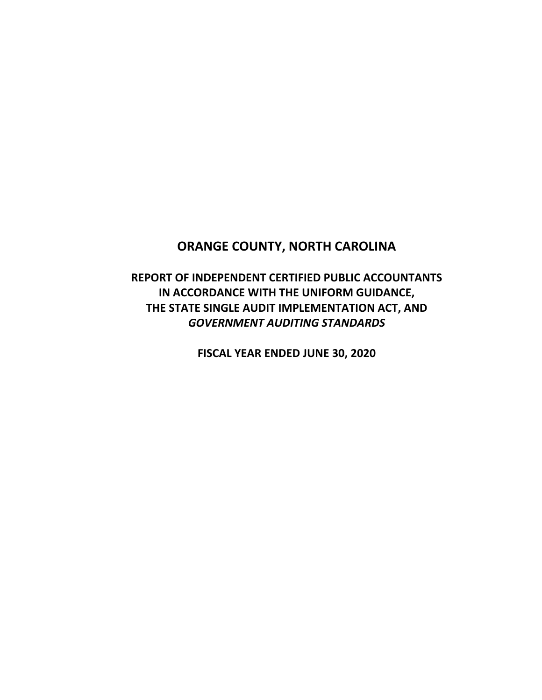# **ORANGE COUNTY, NORTH CAROLINA**

**REPORT OF INDEPENDENT CERTIFIED PUBLIC ACCOUNTANTS IN ACCORDANCE WITH THE UNIFORM GUIDANCE, THE STATE SINGLE AUDIT IMPLEMENTATION ACT, AND**  *GOVERNMENT AUDITING STANDARDS*

**FISCAL YEAR ENDED JUNE 30, 2020**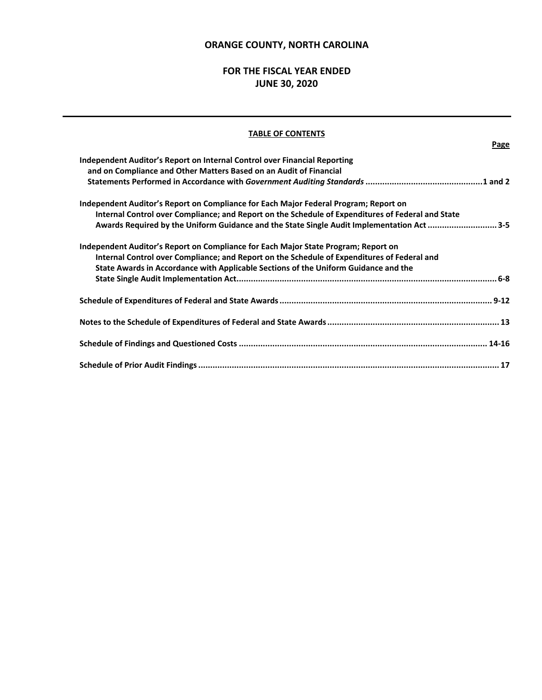### **ORANGE COUNTY, NORTH CAROLINA**

## **FOR THE FISCAL YEAR ENDED JUNE 30, 2020**

### **TABLE OF CONTENTS**

**Page**

| Awards Required by the Uniform Guidance and the State Single Audit Implementation Act 3-5 |
|-------------------------------------------------------------------------------------------|
|                                                                                           |
|                                                                                           |
|                                                                                           |
|                                                                                           |
|                                                                                           |
|                                                                                           |
|                                                                                           |
|                                                                                           |
|                                                                                           |